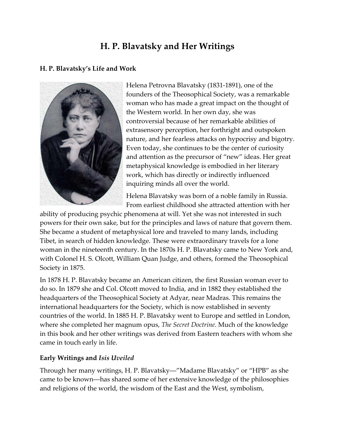# **H. P. Blavatsky and Her Writings**

## **H. P. Blavatsky's Life and Work**



Helena Petrovna Blavatsky (1831-1891), one of the founders of the Theosophical Society, was a remarkable woman who has made a great impact on the thought of the Western world. In her own day, she was controversial because of her remarkable abilities of extrasensory perception, her forthright and outspoken nature, and her fearless attacks on hypocrisy and bigotry. Even today, she continues to be the center of curiosity and attention as the precursor of "new" ideas. Her great metaphysical knowledge is embodied in her literary work, which has directly or indirectly influenced inquiring minds all over the world.

Helena Blavatsky was born of a noble family in Russia. From earliest childhood she attracted attention with her

ability of producing psychic phenomena at will. Yet she was not interested in such powers for their own sake, but for the principles and laws of nature that govern them. She became a student of metaphysical lore and traveled to many lands, including Tibet, in search of hidden knowledge. These were extraordinary travels for a lone woman in the nineteenth century. In the 1870s H. P. Blavatsky came to New York and, with Colonel H. S. Olcott, William Quan Judge, and others, formed the Theosophical Society in 1875.

In 1878 H. P. Blavatsky became an American citizen, the first Russian woman ever to do so. In 1879 she and Col. Olcott moved to India, and in 1882 they established the headquarters of the Theosophical Society at Adyar, near Madras. This remains the international headquarters for the Society, which is now established in seventy countries of the world. In 1885 H. P. Blavatsky went to Europe and settled in London, where she completed her magnum opus, *The Secret Doctrine*. Much of the knowledge in this book and her other writings was derived from Eastern teachers with whom she came in touch early in life.

## **Early Writings and** *Isis Uveiled*

Through her many writings, H. P. Blavatsky―"Madame Blavatsky" or "HPB" as she came to be known―has shared some of her extensive knowledge of the philosophies and religions of the world, the wisdom of the East and the West, symbolism,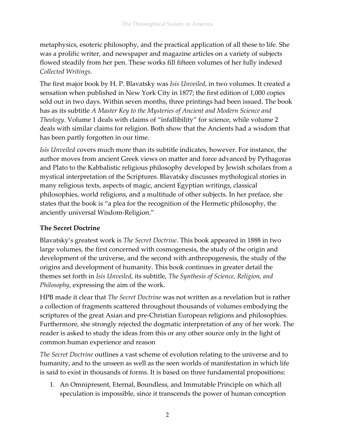metaphysics, esoteric philosophy, and the practical application of all these to life. She was a prolific writer, and newspaper and magazine articles on a variety of subjects flowed steadily from her pen. These works fill fifteen volumes of her fully indexed *Collected Writings*.

The first major book by H. P. Blavatsky was *Isis Unveiled*, in two volumes. It created a sensation when published in New York City in 1877; the first edition of 1,000 copies sold out in two days. Within seven months, three printings had been issued. The book has as its subtitle *A Master Key to the Mysteries of Ancient and Modern Science and Theology.* Volume 1 deals with claims of "infallibility" for science, while volume 2 deals with similar claims for religion. Both show that the Ancients had a wisdom that has been partly forgotten in our time.

*Isis Unveiled* covers much more than its subtitle indicates, however. For instance, the author moves from ancient Greek views on matter and force advanced by Pythagoras and Plato to the Kabbalistic religious philosophy developed by Jewish scholars from a mystical interpretation of the Scriptures. Blavatsky discusses mythological stories in many religious texts, aspects of magic, ancient Egyptian writings, classical philosophies, world religions, and a multitude of other subjects. In her preface, she states that the book is "a plea for the recognition of the Hermetic philosophy, the anciently universal Wisdom-Religion."

## **The Secret Doctrine**

Blavatsky's greatest work is *The Secret Doctrine*. This book appeared in 1888 in two large volumes, the first concerned with cosmogenesis, the study of the origin and development of the universe, and the second with anthropogenesis, the study of the origins and development of humanity. This book continues in greater detail the themes set forth in *Isis Unveiled*, its subtitle, *The Synthesis of Science, Religion, and Philosophy*, expressing the aim of the work.

HPB made it clear that *The Secret Doctrine* was not written as a revelation but is rather a collection of fragments scattered throughout thousands of volumes embodying the scriptures of the great Asian and pre-Christian European religions and philosophies. Furthermore, she strongly rejected the dogmatic interpretation of any of her work. The reader is asked to study the ideas from this or any other source only in the light of common human experience and reason

*The Secret Doctrine* outlines a vast scheme of evolution relating to the universe and to humanity, and to the unseen as well as the seen worlds of manifestation in which life is said to exist in thousands of forms. It is based on three fundamental propositions:

1. An Omnipresent, Eternal, Boundless, and Immutable Principle on which all speculation is impossible, since it transcends the power of human conception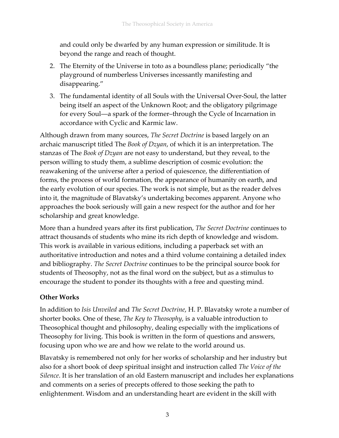and could only be dwarfed by any human expression or similitude. It is beyond the range and reach of thought.

- 2. The Eternity of the Universe in toto as a boundless plane; periodically "the playground of numberless Universes incessantly manifesting and disappearing."
- 3. The fundamental identity of all Souls with the Universal Over-Soul, the latter being itself an aspect of the Unknown Root; and the obligatory pilgrimage for every Soul―a spark of the former–through the Cycle of Incarnation in accordance with Cyclic and Karmic law.

Although drawn from many sources, *The Secret Doctrine* is based largely on an archaic manuscript titled The *Book of Dzyan*, of which it is an interpretation. The stanzas of The *Book of Dzyan* are not easy to understand, but they reveal, to the person willing to study them, a sublime description of cosmic evolution: the reawakening of the universe after a period of quiescence, the differentiation of forms, the process of world formation, the appearance of humanity on earth, and the early evolution of our species. The work is not simple, but as the reader delves into it, the magnitude of Blavatsky's undertaking becomes apparent. Anyone who approaches the book seriously will gain a new respect for the author and for her scholarship and great knowledge.

More than a hundred years after its first publication, *The Secret Doctrine* continues to attract thousands of students who mine its rich depth of knowledge and wisdom. This work is available in various editions, including a paperback set with an authoritative introduction and notes and a third volume containing a detailed index and bibliography. *The Secret Doctrine* continues to be the principal source book for students of Theosophy, not as the final word on the subject, but as a stimulus to encourage the student to ponder its thoughts with a free and questing mind.

## **Other Works**

In addition to *Isis Unveiled* and *The Secret Doctrine*, H. P. Blavatsky wrote a number of shorter books. One of these, *The Key to Theosophy*, is a valuable introduction to Theosophical thought and philosophy, dealing especially with the implications of Theosophy for living. This book is written in the form of questions and answers, focusing upon who we are and how we relate to the world around us.

Blavatsky is remembered not only for her works of scholarship and her industry but also for a short book of deep spiritual insight and instruction called *The Voice of the Silence*. It is her translation of an old Eastern manuscript and includes her explanations and comments on a series of precepts offered to those seeking the path to enlightenment. Wisdom and an understanding heart are evident in the skill with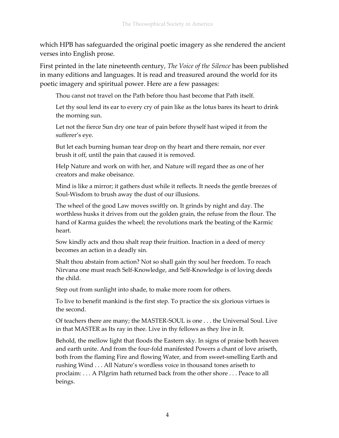which HPB has safeguarded the original poetic imagery as she rendered the ancient verses into English prose.

First printed in the late nineteenth century, *The Voice of the Silence* has been published in many editions and languages. It is read and treasured around the world for its poetic imagery and spiritual power. Here are a few passages:

Thou canst not travel on the Path before thou hast become that Path itself.

Let thy soul lend its ear to every cry of pain like as the lotus bares its heart to drink the morning sun.

Let not the fierce Sun dry one tear of pain before thyself hast wiped it from the sufferer's eye.

But let each burning human tear drop on thy heart and there remain, nor ever brush it off, until the pain that caused it is removed.

Help Nature and work on with her, and Nature will regard thee as one of her creators and make obeisance.

Mind is like a mirror; it gathers dust while it reflects. It needs the gentle breezes of Soul-Wisdom to brush away the dust of our illusions.

The wheel of the good Law moves swiftly on. It grinds by night and day. The worthless husks it drives from out the golden grain, the refuse from the flour. The hand of Karma guides the wheel; the revolutions mark the beating of the Karmic heart.

Sow kindly acts and thou shalt reap their fruition. Inaction in a deed of mercy becomes an action in a deadly sin.

Shalt thou abstain from action? Not so shall gain thy soul her freedom. To reach Nirvana one must reach Self-Knowledge, and Self-Knowledge is of loving deeds the child.

Step out from sunlight into shade, to make more room for others.

To live to benefit mankind is the first step. To practice the six glorious virtues is the second.

Of teachers there are many; the MASTER-SOUL is one . . . the Universal Soul. Live in that MASTER as Its ray in thee. Live in thy fellows as they live in It.

Behold, the mellow light that floods the Eastern sky. In signs of praise both heaven and earth unite. And from the four-fold manifested Powers a chant of love ariseth, both from the flaming Fire and flowing Water, and from sweet-smelling Earth and rushing Wind . . . All Nature's wordless voice in thousand tones ariseth to proclaim: . . . A Pilgrim hath returned back from the other shore . . . Peace to all beings.